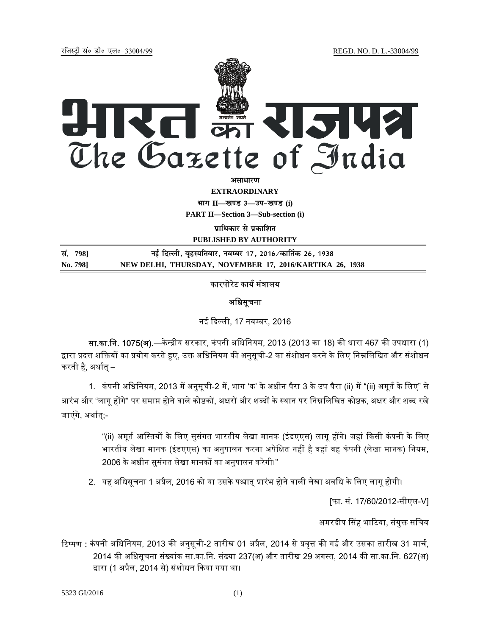jftLVªh laö Mhö ,yö&33004@99 REGD. NO. D. L.-33004/99



*<u>animalist</u>* 

**EXTRAORDINARY**

 $4$ **HI<sup>T</sup> II—<br>**  $\frac{1}{2}$  **ave 3—34-**<br>  $\frac{1}{2}$  ave 3

**PART II—Section 3—Sub-section (i)** 

**पाधिकार से प्रकाशित** 

**PUBLISHED BY AUTHORITY**

**la- 798] ubZ fnYyh] c`gLifrokj] uoEcj 17] 2016@dkfrZd 26] 1938 No. 798] NEW DELHI, THURSDAY, NOVEMBER 17, 2016/KARTIKA 26, 1938**

# कारपोरेट कार्य मंत्रालय

## अधिसूचना

नई दिल्ली, 17 नवम्बर, 2016

सा.का.नि. 1075(अ).—केन्द्रीय सरकार, कंपनी अधिनियम, 2013 (2013 का 18) की धारा 467 की उपधारा (1) द्वारा प्रदत्त शक्तियों का प्रयोग करते हए, उक्त अधिनियम की अनुसूची-2 का संशोधन करने के लिए निम्नलिखित और संशोधन करती है, अर्थात् –

1. कंपनी अधिनियम, 2013 में अनुसूची-2 में, भाग 'क' के अधीन पैरा 3 के उप पैरा (ii) में "(ii) अमूर्त के लिए" से आरंभ और "लागू होंगे" पर समाप्त होने वाले कोष्ठकों, अक्षरों और शब्दों के स्थान पर निम्नलिखित कोष्ठक, अक्षर और शब्द रखे जाएंगे, अर्थात्;-

> "(ii) अमूर्त आस्तियों के लिए सुसंगत भारतीय लेखा मानक (इंडएएस) लागू होंगे। जहां किसी कंपनी के लिए भारतीय लेखा मानक (इंडएएस) का अनुपालन करना अपेक्षित नहीं है वहां वह कंपनी (लेखा मानक) नियम, 2006 के अधीन सुसंगत लेखा मानकों का अनुपालन करेगी।"

2. यह अधिसूचना 1 अप्रैल, 2016 को या उसके पश्चात् प्रारंभ होने वाली लेखा अवधि के लिए लागू होगी।

[फा. सं. 17/60/2012-सीएल-V]

अमरदीप सिंह भाटिया, संयुक्त सचिव

**टिप्पण :** कंपनी अधिनियम, 2013 की अनुसूची-2 तारीख 01 अप्रैल, 2014 से प्रवृत्त की गई और उसका तारीख 31 मार्च, 2014 की अधिसूचना संख्यांक सा.का.नि. संख्या 237(अ) और तारीख 29 अगस्त, 2014 की सा.का.नि. 627(अ) द्वारा (1 अप्रैल, 2014 से) संशोधन किया गया था।